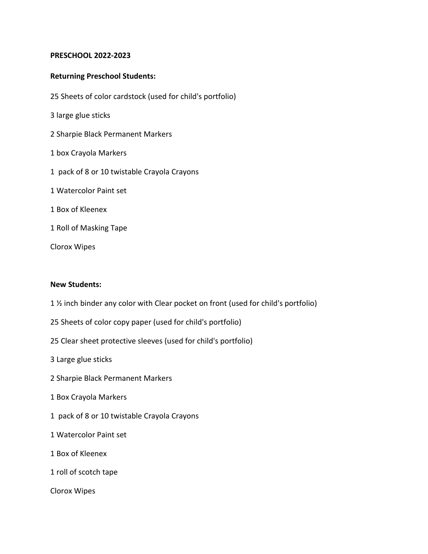#### **PRESCHOOL 2022-2023**

#### **Returning Preschool Students:**

- 25 Sheets of color cardstock (used for child's portfolio)
- 3 large glue sticks
- 2 Sharpie Black Permanent Markers
- 1 box Crayola Markers
- 1 pack of 8 or 10 twistable Crayola Crayons
- 1 Watercolor Paint set
- 1 Box of Kleenex
- 1 Roll of Masking Tape
- Clorox Wipes

#### **New Students:**

- 1 ½ inch binder any color with Clear pocket on front (used for child's portfolio)
- 25 Sheets of color copy paper (used for child's portfolio)
- 25 Clear sheet protective sleeves (used for child's portfolio)
- 3 Large glue sticks
- 2 Sharpie Black Permanent Markers
- 1 Box Crayola Markers
- 1 pack of 8 or 10 twistable Crayola Crayons
- 1 Watercolor Paint set
- 1 Box of Kleenex
- 1 roll of scotch tape
- Clorox Wipes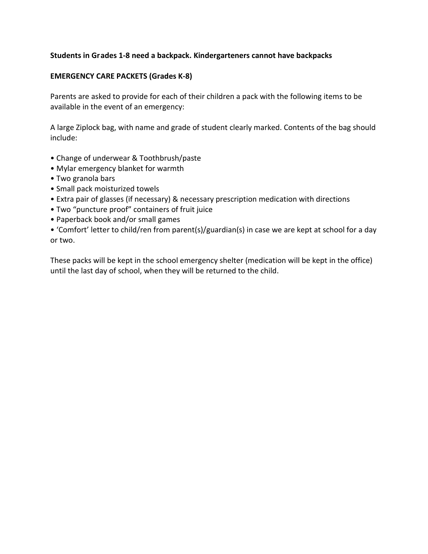#### **Students in Grades 1-8 need a backpack. Kindergarteners cannot have backpacks**

#### **EMERGENCY CARE PACKETS (Grades K-8)**

Parents are asked to provide for each of their children a pack with the following items to be available in the event of an emergency:

A large Ziplock bag, with name and grade of student clearly marked. Contents of the bag should include:

- Change of underwear & Toothbrush/paste
- Mylar emergency blanket for warmth
- Two granola bars
- Small pack moisturized towels
- Extra pair of glasses (if necessary) & necessary prescription medication with directions
- Two "puncture proof" containers of fruit juice
- Paperback book and/or small games
- 'Comfort' letter to child/ren from parent(s)/guardian(s) in case we are kept at school for a day or two.

These packs will be kept in the school emergency shelter (medication will be kept in the office) until the last day of school, when they will be returned to the child.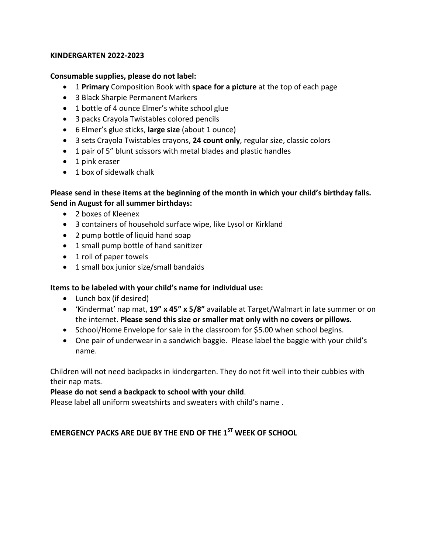#### **KINDERGARTEN 2022-2023**

#### **Consumable supplies, please do not label:**

- 1 **Primary** Composition Book with **space for a picture** at the top of each page
- 3 Black Sharpie Permanent Markers
- 1 bottle of 4 ounce Elmer's white school glue
- 3 packs Crayola Twistables colored pencils
- 6 Elmer's glue sticks, **large size** (about 1 ounce)
- 3 sets Crayola Twistables crayons, **24 count only**, regular size, classic colors
- 1 pair of 5" blunt scissors with metal blades and plastic handles
- 1 pink eraser
- 1 box of sidewalk chalk

#### **Please send in these items at the beginning of the month in which your child's birthday falls. Send in August for all summer birthdays:**

- 2 boxes of Kleenex
- 3 containers of household surface wipe, like Lysol or Kirkland
- 2 pump bottle of liquid hand soap
- 1 small pump bottle of hand sanitizer
- 1 roll of paper towels
- 1 small box junior size/small bandaids

#### **Items to be labeled with your child's name for individual use:**

- Lunch box (if desired)
- 'Kindermat' nap mat, **19" x 45" x 5/8"** available at Target/Walmart in late summer or on the internet. **Please send this size or smaller mat only with no covers or pillows.**
- School/Home Envelope for sale in the classroom for \$5.00 when school begins.
- One pair of underwear in a sandwich baggie. Please label the baggie with your child's name.

Children will not need backpacks in kindergarten. They do not fit well into their cubbies with their nap mats.

#### **Please do not send a backpack to school with your child**.

Please label all uniform sweatshirts and sweaters with child's name .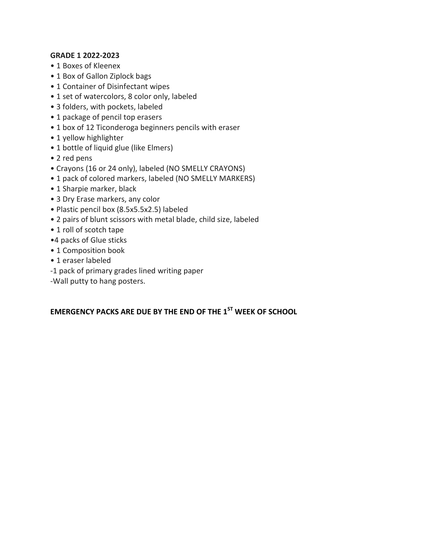#### **GRADE 1 2022-2023**

- 1 Boxes of Kleenex
- 1 Box of Gallon Ziplock bags
- 1 Container of Disinfectant wipes
- 1 set of watercolors, 8 color only, labeled
- 3 folders, with pockets, labeled
- 1 package of pencil top erasers
- 1 box of 12 Ticonderoga beginners pencils with eraser
- 1 yellow highlighter
- 1 bottle of liquid glue (like Elmers)
- 2 red pens
- Crayons (16 or 24 only), labeled (NO SMELLY CRAYONS)
- 1 pack of colored markers, labeled (NO SMELLY MARKERS)
- 1 Sharpie marker, black
- 3 Dry Erase markers, any color
- Plastic pencil box (8.5x5.5x2.5) labeled
- 2 pairs of blunt scissors with metal blade, child size, labeled
- 1 roll of scotch tape
- •4 packs of Glue sticks
- 1 Composition book
- 1 eraser labeled
- -1 pack of primary grades lined writing paper
- -Wall putty to hang posters.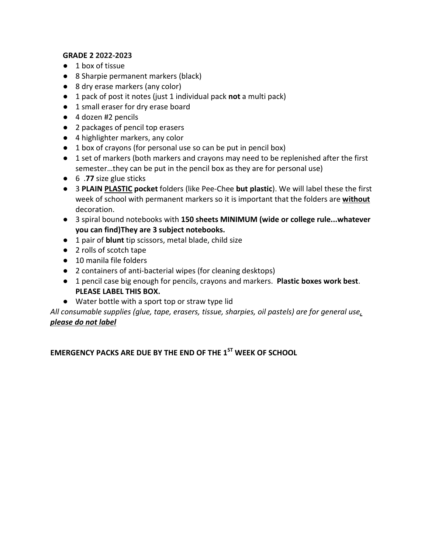## **GRADE 2 2022-2023**

- 1 box of tissue
- 8 Sharpie permanent markers (black)
- 8 dry erase markers (any color)
- 1 pack of post it notes (just 1 individual pack **not** a multi pack)
- 1 small eraser for dry erase board
- 4 dozen #2 pencils
- 2 packages of pencil top erasers
- 4 highlighter markers, any color
- 1 box of crayons (for personal use so can be put in pencil box)
- 1 set of markers (both markers and crayons may need to be replenished after the first semester…they can be put in the pencil box as they are for personal use)
- 6 .**77** size glue sticks
- 3 **PLAIN PLASTIC pocket** folders (like Pee-Chee **but plastic**). We will label these the first week of school with permanent markers so it is important that the folders are **without** decoration.
- 3 spiral bound notebooks with **150 sheets MINIMUM (wide or college rule...whatever you can find)They are 3 subject notebooks.**
- 1 pair of **blunt** tip scissors, metal blade, child size
- 2 rolls of scotch tape
- 10 manila file folders
- 2 containers of anti-bacterial wipes (for cleaning desktops)
- 1 pencil case big enough for pencils, crayons and markers. **Plastic boxes work best**. **PLEASE LABEL THIS BOX.**
- Water bottle with a sport top or straw type lid

*All consumable supplies (glue, tape, erasers, tissue, sharpies, oil pastels) are for general use, please do not label*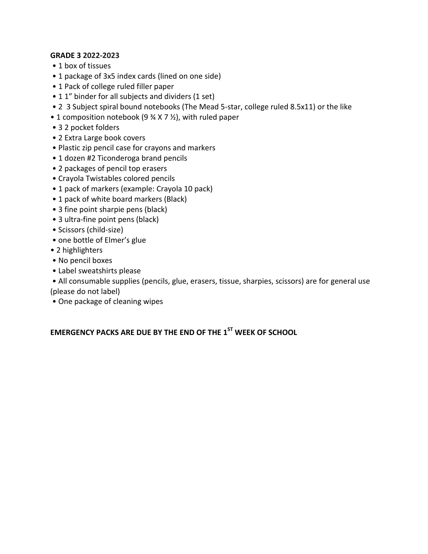#### **GRADE 3 2022-2023**

- 1 box of tissues
- 1 package of 3x5 index cards (lined on one side)
- 1 Pack of college ruled filler paper
- 1 1" binder for all subjects and dividers (1 set)
- 2 3 Subject spiral bound notebooks (The Mead 5-star, college ruled 8.5x11) or the like
- 1 composition notebook (9 % X 7 %), with ruled paper
- 3 2 pocket folders
- 2 Extra Large book covers
- Plastic zip pencil case for crayons and markers
- 1 dozen #2 Ticonderoga brand pencils
- 2 packages of pencil top erasers
- Crayola Twistables colored pencils
- 1 pack of markers (example: Crayola 10 pack)
- 1 pack of white board markers (Black)
- 3 fine point sharpie pens (black)
- 3 ultra-fine point pens (black)
- Scissors (child-size)
- one bottle of Elmer's glue
- 2 highlighters
- No pencil boxes
- Label sweatshirts please
- All consumable supplies (pencils, glue, erasers, tissue, sharpies, scissors) are for general use (please do not label)
- One package of cleaning wipes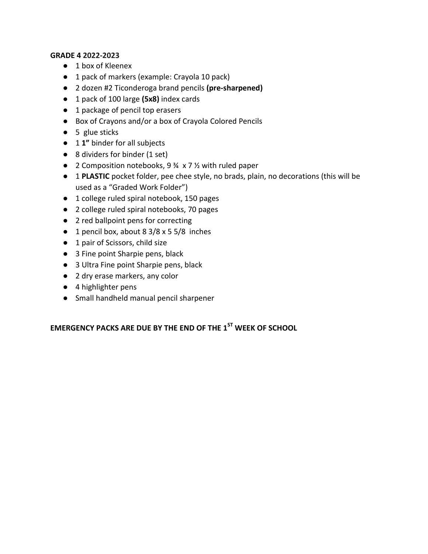#### **GRADE 4 2022-2023**

- 1 box of Kleenex
- 1 pack of markers (example: Crayola 10 pack)
- 2 dozen #2 Ticonderoga brand pencils **(pre-sharpened)**
- 1 pack of 100 large **(5x8)** index cards
- 1 package of pencil top erasers
- Box of Crayons and/or a box of Crayola Colored Pencils
- 5 glue sticks
- 1 **1"** binder for all subjects
- 8 dividers for binder (1 set)
- 2 Composition notebooks, 9 ¾ x 7 ½ with ruled paper
- 1 **PLASTIC** pocket folder, pee chee style, no brads, plain, no decorations (this will be used as a "Graded Work Folder")
- 1 college ruled spiral notebook, 150 pages
- 2 college ruled spiral notebooks, 70 pages
- 2 red ballpoint pens for correcting
- 1 pencil box, about 8 3/8 x 5 5/8 inches
- 1 pair of Scissors, child size
- 3 Fine point Sharpie pens, black
- 3 Ultra Fine point Sharpie pens, black
- 2 dry erase markers, any color
- 4 highlighter pens
- Small handheld manual pencil sharpener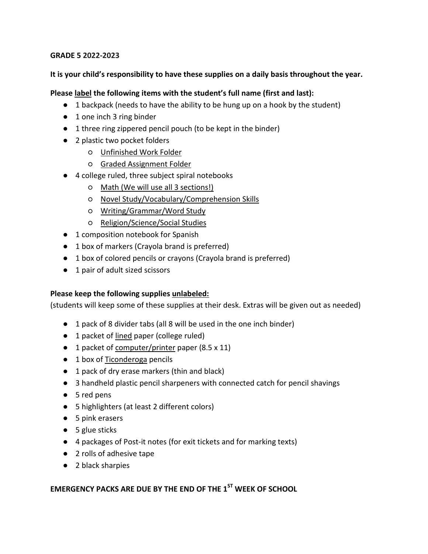#### **GRADE 5 2022-2023**

#### **It is your child's responsibility to have these supplies on a daily basis throughout the year.**

#### **Please label the following items with the student's full name (first and last):**

- 1 backpack (needs to have the ability to be hung up on a hook by the student)
- 1 one inch 3 ring binder
- 1 three ring zippered pencil pouch (to be kept in the binder)
- 2 plastic two pocket folders
	- Unfinished Work Folder
	- Graded Assignment Folder
- 4 college ruled, three subject spiral notebooks
	- Math (We will use all 3 sections!)
	- Novel Study/Vocabulary/Comprehension Skills
	- Writing/Grammar/Word Study
	- Religion/Science/Social Studies
- 1 composition notebook for Spanish
- 1 box of markers (Crayola brand is preferred)
- 1 box of colored pencils or crayons (Crayola brand is preferred)
- 1 pair of adult sized scissors

## **Please keep the following supplies unlabeled:**

(students will keep some of these supplies at their desk. Extras will be given out as needed)

- 1 pack of 8 divider tabs (all 8 will be used in the one inch binder)
- 1 packet of lined paper (college ruled)
- 1 packet of computer/printer paper (8.5 x 11)
- 1 box of Ticonderoga pencils
- 1 pack of dry erase markers (thin and black)
- 3 handheld plastic pencil sharpeners with connected catch for pencil shavings
- 5 red pens
- 5 highlighters (at least 2 different colors)
- 5 pink erasers
- 5 glue sticks
- 4 packages of Post-it notes (for exit tickets and for marking texts)
- 2 rolls of adhesive tape
- 2 black sharpies